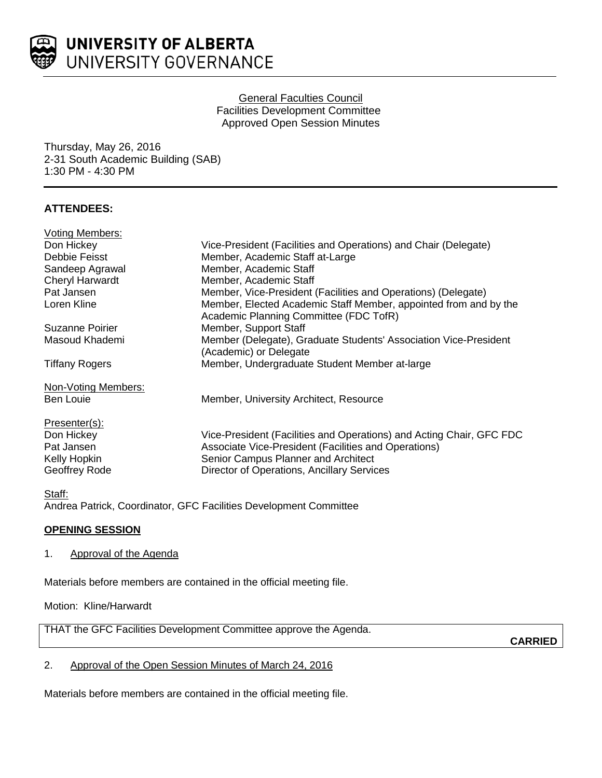

## General Faculties Council Facilities Development Committee Approved Open Session Minutes

Thursday, May 26, 2016 2-31 South Academic Building (SAB) 1:30 PM - 4:30 PM

# **ATTENDEES:**

| <b>Voting Members:</b> |                                                                                                            |
|------------------------|------------------------------------------------------------------------------------------------------------|
| Don Hickey             | Vice-President (Facilities and Operations) and Chair (Delegate)                                            |
| Debbie Feisst          | Member, Academic Staff at-Large                                                                            |
| Sandeep Agrawal        | Member, Academic Staff                                                                                     |
| <b>Cheryl Harwardt</b> | Member, Academic Staff                                                                                     |
| Pat Jansen             | Member, Vice-President (Facilities and Operations) (Delegate)                                              |
| Loren Kline            | Member, Elected Academic Staff Member, appointed from and by the<br>Academic Planning Committee (FDC TofR) |
| Suzanne Poirier        | Member, Support Staff                                                                                      |
| Masoud Khademi         | Member (Delegate), Graduate Students' Association Vice-President                                           |
|                        | (Academic) or Delegate                                                                                     |
| <b>Tiffany Rogers</b>  | Member, Undergraduate Student Member at-large                                                              |
| Non-Voting Members:    |                                                                                                            |
| <b>Ben Louie</b>       | Member, University Architect, Resource                                                                     |
| Presenter(s):          |                                                                                                            |
| Don Hickey             | Vice-President (Facilities and Operations) and Acting Chair, GFC FDC                                       |
| Pat Jansen             | Associate Vice-President (Facilities and Operations)                                                       |
| Kelly Hopkin           | Senior Campus Planner and Architect                                                                        |
| Geoffrey Rode          | Director of Operations, Ancillary Services                                                                 |
|                        |                                                                                                            |

#### Staff:

Andrea Patrick, Coordinator, GFC Facilities Development Committee

## **OPENING SESSION**

#### 1. Approval of the Agenda

Materials before members are contained in the official meeting file.

Motion: Kline/Harwardt

THAT the GFC Facilities Development Committee approve the Agenda.

**CARRIED**

## 2. Approval of the Open Session Minutes of March 24, 2016

Materials before members are contained in the official meeting file.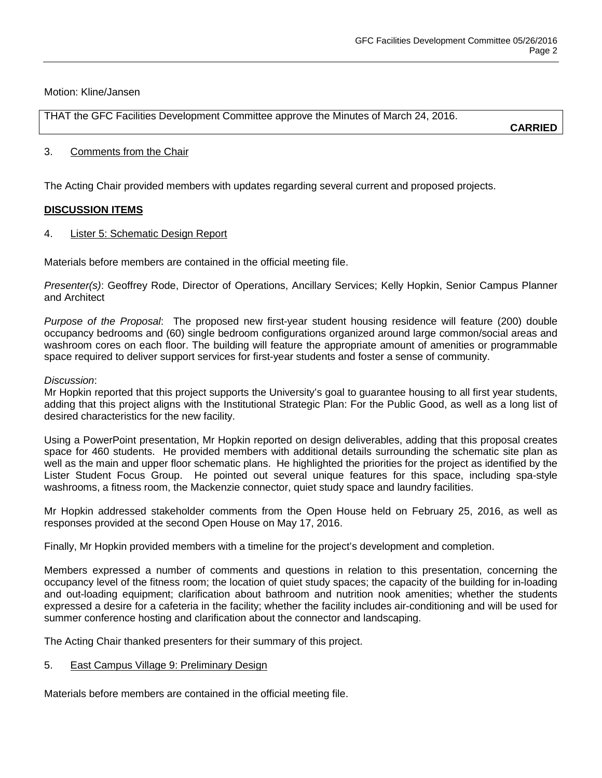Motion: Kline/Jansen

THAT the GFC Facilities Development Committee approve the Minutes of March 24, 2016.

**CARRIED**

#### 3. Comments from the Chair

The Acting Chair provided members with updates regarding several current and proposed projects.

## **DISCUSSION ITEMS**

4. Lister 5: Schematic Design Report

Materials before members are contained in the official meeting file.

*Presenter(s)*: Geoffrey Rode, Director of Operations, Ancillary Services; Kelly Hopkin, Senior Campus Planner and Architect

*Purpose of the Proposal*: The proposed new first-year student housing residence will feature (200) double occupancy bedrooms and (60) single bedroom configurations organized around large common/social areas and washroom cores on each floor. The building will feature the appropriate amount of amenities or programmable space required to deliver support services for first-year students and foster a sense of community.

## *Discussion*:

Mr Hopkin reported that this project supports the University's goal to guarantee housing to all first year students, adding that this project aligns with the Institutional Strategic Plan: For the Public Good, as well as a long list of desired characteristics for the new facility.

Using a PowerPoint presentation, Mr Hopkin reported on design deliverables, adding that this proposal creates space for 460 students. He provided members with additional details surrounding the schematic site plan as well as the main and upper floor schematic plans. He highlighted the priorities for the project as identified by the Lister Student Focus Group. He pointed out several unique features for this space, including spa-style washrooms, a fitness room, the Mackenzie connector, quiet study space and laundry facilities.

Mr Hopkin addressed stakeholder comments from the Open House held on February 25, 2016, as well as responses provided at the second Open House on May 17, 2016.

Finally, Mr Hopkin provided members with a timeline for the project's development and completion.

Members expressed a number of comments and questions in relation to this presentation, concerning the occupancy level of the fitness room; the location of quiet study spaces; the capacity of the building for in-loading and out-loading equipment; clarification about bathroom and nutrition nook amenities; whether the students expressed a desire for a cafeteria in the facility; whether the facility includes air-conditioning and will be used for summer conference hosting and clarification about the connector and landscaping.

The Acting Chair thanked presenters for their summary of this project.

## 5. East Campus Village 9: Preliminary Design

Materials before members are contained in the official meeting file.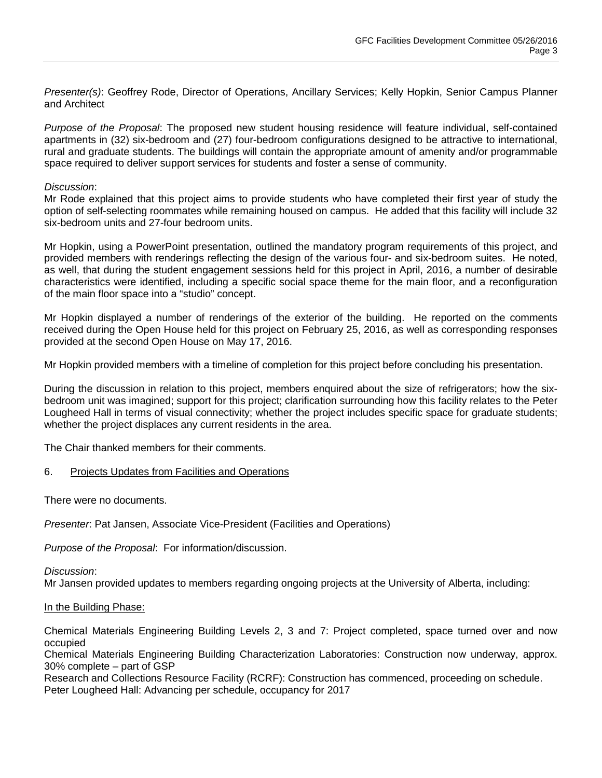*Presenter(s)*: Geoffrey Rode, Director of Operations, Ancillary Services; Kelly Hopkin, Senior Campus Planner and Architect

*Purpose of the Proposal*: The proposed new student housing residence will feature individual, self-contained apartments in (32) six-bedroom and (27) four-bedroom configurations designed to be attractive to international, rural and graduate students. The buildings will contain the appropriate amount of amenity and/or programmable space required to deliver support services for students and foster a sense of community.

#### *Discussion*:

Mr Rode explained that this project aims to provide students who have completed their first year of study the option of self-selecting roommates while remaining housed on campus. He added that this facility will include 32 six-bedroom units and 27-four bedroom units.

Mr Hopkin, using a PowerPoint presentation, outlined the mandatory program requirements of this project, and provided members with renderings reflecting the design of the various four- and six-bedroom suites. He noted, as well, that during the student engagement sessions held for this project in April, 2016, a number of desirable characteristics were identified, including a specific social space theme for the main floor, and a reconfiguration of the main floor space into a "studio" concept.

Mr Hopkin displayed a number of renderings of the exterior of the building. He reported on the comments received during the Open House held for this project on February 25, 2016, as well as corresponding responses provided at the second Open House on May 17, 2016.

Mr Hopkin provided members with a timeline of completion for this project before concluding his presentation.

During the discussion in relation to this project, members enquired about the size of refrigerators; how the sixbedroom unit was imagined; support for this project; clarification surrounding how this facility relates to the Peter Lougheed Hall in terms of visual connectivity; whether the project includes specific space for graduate students; whether the project displaces any current residents in the area.

The Chair thanked members for their comments.

#### 6. Projects Updates from Facilities and Operations

There were no documents.

*Presenter*: Pat Jansen, Associate Vice-President (Facilities and Operations)

*Purpose of the Proposal*: For information/discussion.

*Discussion*:

Mr Jansen provided updates to members regarding ongoing projects at the University of Alberta, including:

#### In the Building Phase:

Chemical Materials Engineering Building Levels 2, 3 and 7: Project completed, space turned over and now occupied

Chemical Materials Engineering Building Characterization Laboratories: Construction now underway, approx. 30% complete – part of GSP

Research and Collections Resource Facility (RCRF): Construction has commenced, proceeding on schedule. Peter Lougheed Hall: Advancing per schedule, occupancy for 2017